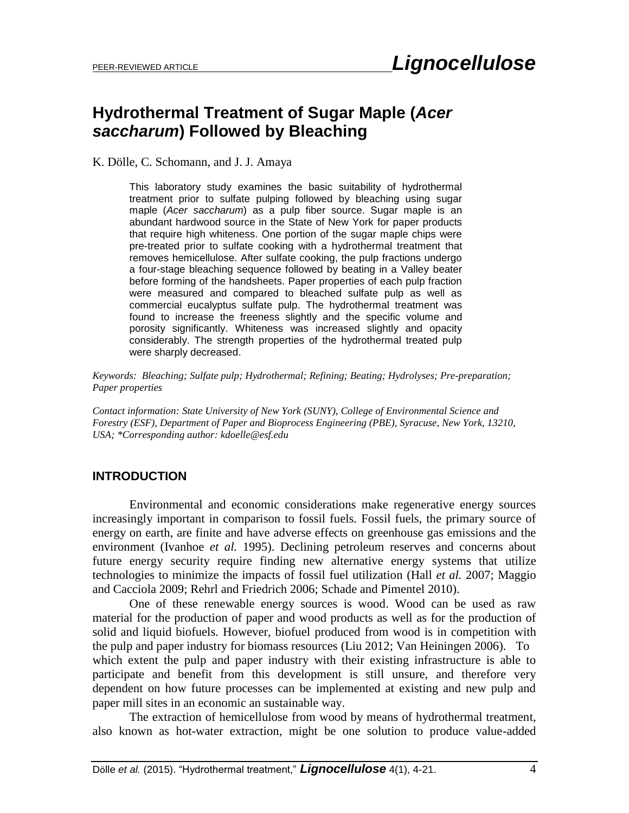# **Hydrothermal Treatment of Sugar Maple (***Acer saccharum***) Followed by Bleaching**

K. Dölle, C. Schomann, and J. J. Amaya

This laboratory study examines the basic suitability of hydrothermal treatment prior to sulfate pulping followed by bleaching using sugar maple (*Acer saccharum*) as a pulp fiber source. Sugar maple is an abundant hardwood source in the State of New York for paper products that require high whiteness. One portion of the sugar maple chips were pre-treated prior to sulfate cooking with a hydrothermal treatment that removes hemicellulose. After sulfate cooking, the pulp fractions undergo a four-stage bleaching sequence followed by beating in a Valley beater before forming of the handsheets. Paper properties of each pulp fraction were measured and compared to bleached sulfate pulp as well as commercial eucalyptus sulfate pulp. The hydrothermal treatment was found to increase the freeness slightly and the specific volume and porosity significantly. Whiteness was increased slightly and opacity considerably. The strength properties of the hydrothermal treated pulp were sharply decreased.

*Keywords: Bleaching; Sulfate pulp; Hydrothermal; Refining; Beating; Hydrolyses; Pre-preparation; Paper properties*

*Contact information: State University of New York (SUNY), College of Environmental Science and Forestry (ESF), Department of Paper and Bioprocess Engineering (PBE), Syracuse, New York, 13210, USA; \*Corresponding author[: kdoelle@esf.edu](mailto:kdoelle@esf.edu)*

# **INTRODUCTION**

Environmental and economic considerations make regenerative energy sources increasingly important in comparison to fossil fuels. Fossil fuels, the primary source of energy on earth, are finite and have adverse effects on greenhouse gas emissions and the environment (Ivanhoe *et al.* 1995). Declining petroleum reserves and concerns about future energy security require finding new alternative energy systems that utilize technologies to minimize the impacts of fossil fuel utilization (Hall *et al.* 2007; Maggio and Cacciola 2009; Rehrl and Friedrich 2006; Schade and Pimentel 2010).

One of these renewable energy sources is wood. Wood can be used as raw material for the production of paper and wood products as well as for the production of solid and liquid biofuels. However, biofuel produced from wood is in competition with the pulp and paper industry for biomass resources (Liu 2012; Van Heiningen 2006). To which extent the pulp and paper industry with their existing infrastructure is able to participate and benefit from this development is still unsure, and therefore very dependent on how future processes can be implemented at existing and new pulp and paper mill sites in an economic an sustainable way.

The extraction of hemicellulose from wood by means of hydrothermal treatment, also known as hot-water extraction, might be one solution to produce value-added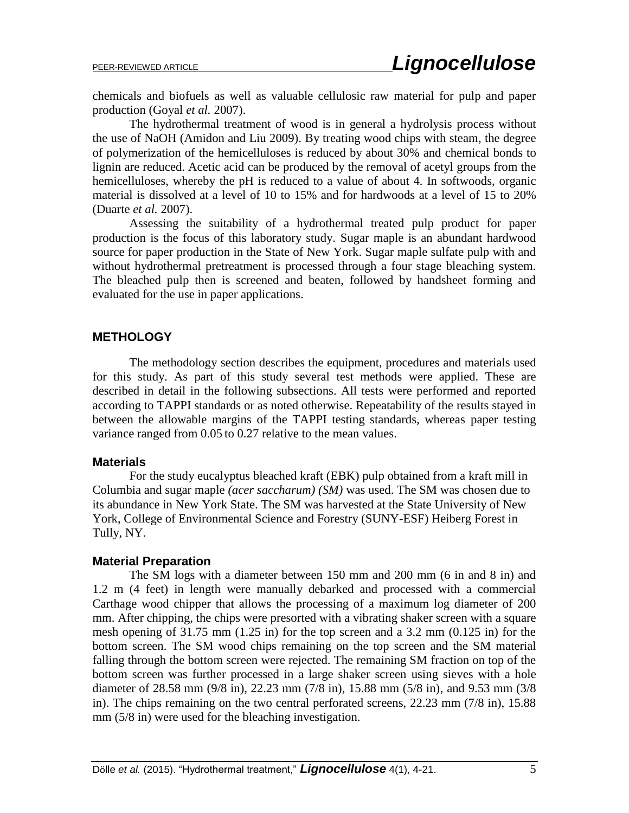chemicals and biofuels as well as valuable cellulosic raw material for pulp and paper production (Goyal *et al.* 2007).

The hydrothermal treatment of wood is in general a hydrolysis process without the use of NaOH (Amidon and Liu 2009). By treating wood chips with steam, the degree of polymerization of the hemicelluloses is reduced by about 30% and chemical bonds to lignin are reduced. Acetic acid can be produced by the removal of acetyl groups from the hemicelluloses, whereby the pH is reduced to a value of about 4. In softwoods, organic material is dissolved at a level of 10 to 15% and for hardwoods at a level of 15 to 20% (Duarte *et al.* 2007).

Assessing the suitability of a hydrothermal treated pulp product for paper production is the focus of this laboratory study. Sugar maple is an abundant hardwood source for paper production in the State of New York. Sugar maple sulfate pulp with and without hydrothermal pretreatment is processed through a four stage bleaching system. The bleached pulp then is screened and beaten, followed by handsheet forming and evaluated for the use in paper applications.

#### **METHOLOGY**

The methodology section describes the equipment, procedures and materials used for this study. As part of this study several test methods were applied. These are described in detail in the following subsections. All tests were performed and reported according to TAPPI standards or as noted otherwise. Repeatability of the results stayed in between the allowable margins of the TAPPI testing standards, whereas paper testing variance ranged from 0.05 to 0.27 relative to the mean values.

#### **Materials**

For the study eucalyptus bleached kraft (EBK) pulp obtained from a kraft mill in Columbia and sugar maple *(acer saccharum) (SM)* was used. The SM was chosen due to its abundance in New York State. The SM was harvested at the State University of New York, College of Environmental Science and Forestry (SUNY-ESF) Heiberg Forest in Tully, NY.

#### **Material Preparation**

The SM logs with a diameter between 150 mm and 200 mm (6 in and 8 in) and 1.2 m (4 feet) in length were manually debarked and processed with a commercial Carthage wood chipper that allows the processing of a maximum log diameter of 200 mm. After chipping, the chips were presorted with a vibrating shaker screen with a square mesh opening of 31.75 mm (1.25 in) for the top screen and a 3.2 mm (0.125 in) for the bottom screen. The SM wood chips remaining on the top screen and the SM material falling through the bottom screen were rejected. The remaining SM fraction on top of the bottom screen was further processed in a large shaker screen using sieves with a hole diameter of 28.58 mm (9/8 in), 22.23 mm (7/8 in), 15.88 mm (5/8 in), and 9.53 mm (3/8 in). The chips remaining on the two central perforated screens, 22.23 mm (7/8 in), 15.88 mm (5/8 in) were used for the bleaching investigation.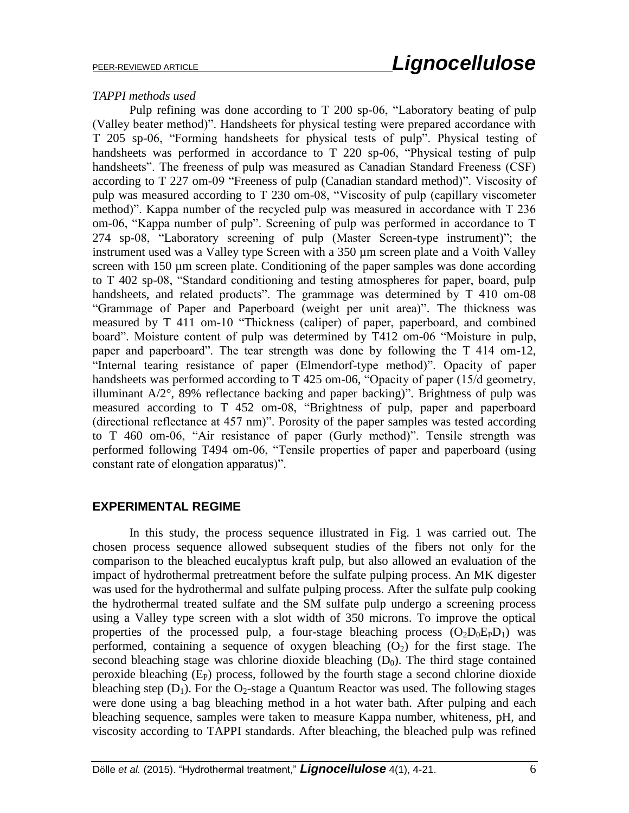#### *TAPPI methods used*

Pulp refining was done according to T 200 sp-06, "Laboratory beating of pulp (Valley beater method)". Handsheets for physical testing were prepared accordance with T 205 sp-06, "Forming handsheets for physical tests of pulp". Physical testing of handsheets was performed in accordance to T 220 sp-06, "Physical testing of pulp handsheets". The freeness of pulp was measured as Canadian Standard Freeness (CSF) according to T 227 om-09 "Freeness of pulp (Canadian standard method)". Viscosity of pulp was measured according to T 230 om-08, "Viscosity of pulp (capillary viscometer method)". Kappa number of the recycled pulp was measured in accordance with T 236 om-06, "Kappa number of pulp". Screening of pulp was performed in accordance to T 274 sp-08, "Laboratory screening of pulp (Master Screen-type instrument)"; the instrument used was a Valley type Screen with a 350 µm screen plate and a Voith Valley screen with 150 µm screen plate. Conditioning of the paper samples was done according to T 402 sp-08, "Standard conditioning and testing atmospheres for paper, board, pulp handsheets, and related products". The grammage was determined by T 410 om-08 "Grammage of Paper and Paperboard (weight per unit area)". The thickness was measured by T 411 om-10 "Thickness (caliper) of paper, paperboard, and combined board". Moisture content of pulp was determined by T412 om-06 "Moisture in pulp, paper and paperboard". The tear strength was done by following the T 414 om-12, "Internal tearing resistance of paper (Elmendorf-type method)". Opacity of paper handsheets was performed according to T 425 om-06, "Opacity of paper (15/d geometry, illuminant A/2°, 89% reflectance backing and paper backing)". Brightness of pulp was measured according to T 452 om-08, "Brightness of pulp, paper and paperboard (directional reflectance at 457 nm)". Porosity of the paper samples was tested according to T 460 om-06, "Air resistance of paper (Gurly method)". Tensile strength was performed following T494 om-06, "Tensile properties of paper and paperboard (using constant rate of elongation apparatus)".

## **EXPERIMENTAL REGIME**

In this study, the process sequence illustrated in Fig. 1 was carried out. The chosen process sequence allowed subsequent studies of the fibers not only for the comparison to the bleached eucalyptus kraft pulp, but also allowed an evaluation of the impact of hydrothermal pretreatment before the sulfate pulping process. An MK digester was used for the hydrothermal and sulfate pulping process. After the sulfate pulp cooking the hydrothermal treated sulfate and the SM sulfate pulp undergo a screening process using a Valley type screen with a slot width of 350 microns. To improve the optical properties of the processed pulp, a four-stage bleaching process  $(O_2D_0E_PD_1)$  was performed, containing a sequence of oxygen bleaching  $(O_2)$  for the first stage. The second bleaching stage was chlorine dioxide bleaching  $(D_0)$ . The third stage contained peroxide bleaching  $(E_P)$  process, followed by the fourth stage a second chlorine dioxide bleaching step  $(D_1)$ . For the O<sub>2</sub>-stage a Quantum Reactor was used. The following stages were done using a bag bleaching method in a hot water bath. After pulping and each bleaching sequence, samples were taken to measure Kappa number, whiteness, pH, and viscosity according to TAPPI standards. After bleaching, the bleached pulp was refined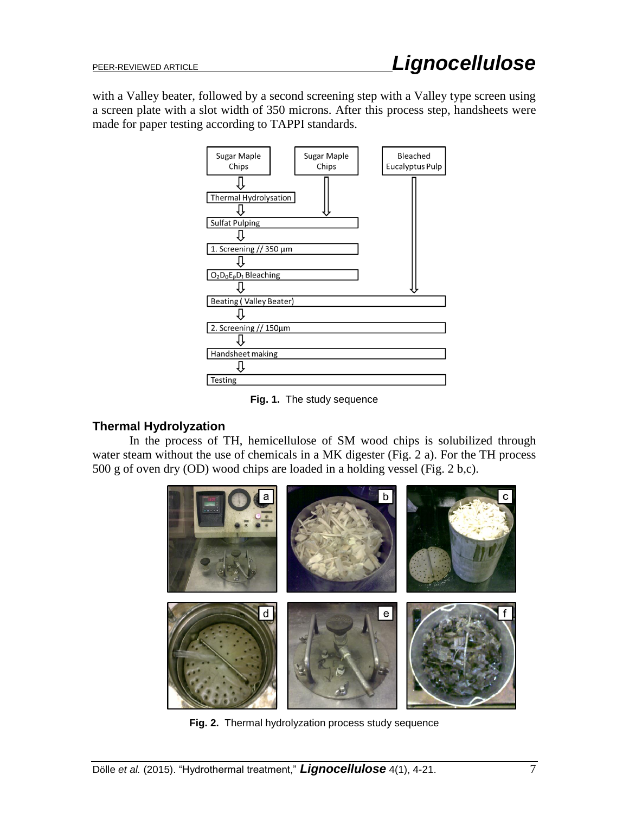with a Valley beater, followed by a second screening step with a Valley type screen using a screen plate with a slot width of 350 microns. After this process step, handsheets were made for paper testing according to TAPPI standards.



**Fig. 1.** The study sequence

# **Thermal Hydrolyzation**

In the process of TH, hemicellulose of SM wood chips is solubilized through water steam without the use of chemicals in a MK digester (Fig. 2 a). For the TH process 500 g of oven dry (OD) wood chips are loaded in a holding vessel (Fig. 2 b,c).



**Fig. 2.** Thermal hydrolyzation process study sequence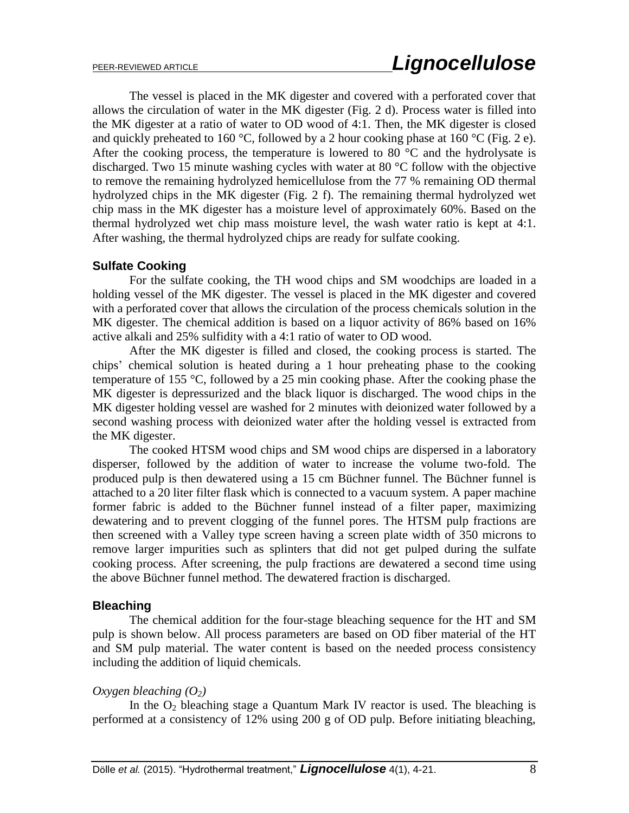The vessel is placed in the MK digester and covered with a perforated cover that allows the circulation of water in the MK digester (Fig. 2 d). Process water is filled into the MK digester at a ratio of water to OD wood of 4:1. Then, the MK digester is closed and quickly preheated to 160 °C, followed by a 2 hour cooking phase at 160 °C (Fig. 2 e). After the cooking process, the temperature is lowered to 80  $^{\circ}$ C and the hydrolysate is discharged. Two 15 minute washing cycles with water at 80 °C follow with the objective to remove the remaining hydrolyzed hemicellulose from the 77 % remaining OD thermal hydrolyzed chips in the MK digester (Fig. 2 f). The remaining thermal hydrolyzed wet chip mass in the MK digester has a moisture level of approximately 60%. Based on the thermal hydrolyzed wet chip mass moisture level, the wash water ratio is kept at 4:1. After washing, the thermal hydrolyzed chips are ready for sulfate cooking.

# **Sulfate Cooking**

For the sulfate cooking, the TH wood chips and SM woodchips are loaded in a holding vessel of the MK digester. The vessel is placed in the MK digester and covered with a perforated cover that allows the circulation of the process chemicals solution in the MK digester. The chemical addition is based on a liquor activity of 86% based on 16% active alkali and 25% sulfidity with a 4:1 ratio of water to OD wood.

After the MK digester is filled and closed, the cooking process is started. The chips' chemical solution is heated during a 1 hour preheating phase to the cooking temperature of 155 °C, followed by a 25 min cooking phase. After the cooking phase the MK digester is depressurized and the black liquor is discharged. The wood chips in the MK digester holding vessel are washed for 2 minutes with deionized water followed by a second washing process with deionized water after the holding vessel is extracted from the MK digester.

The cooked HTSM wood chips and SM wood chips are dispersed in a laboratory disperser, followed by the addition of water to increase the volume two-fold. The produced pulp is then dewatered using a 15 cm Büchner funnel. The Büchner funnel is attached to a 20 liter filter flask which is connected to a vacuum system. A paper machine former fabric is added to the Büchner funnel instead of a filter paper, maximizing dewatering and to prevent clogging of the funnel pores. The HTSM pulp fractions are then screened with a Valley type screen having a screen plate width of 350 microns to remove larger impurities such as splinters that did not get pulped during the sulfate cooking process. After screening, the pulp fractions are dewatered a second time using the above Büchner funnel method. The dewatered fraction is discharged.

# **Bleaching**

The chemical addition for the four-stage bleaching sequence for the HT and SM pulp is shown below. All process parameters are based on OD fiber material of the HT and SM pulp material. The water content is based on the needed process consistency including the addition of liquid chemicals.

# *Oxygen bleaching (O2)*

In the  $O_2$  bleaching stage a Quantum Mark IV reactor is used. The bleaching is performed at a consistency of 12% using 200 g of OD pulp. Before initiating bleaching,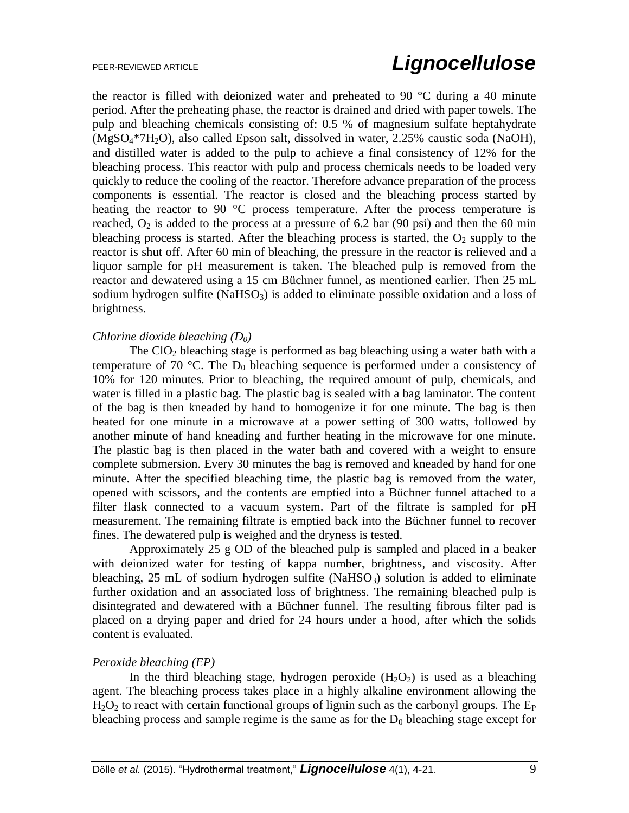the reactor is filled with deionized water and preheated to 90  $^{\circ}$ C during a 40 minute period. After the preheating phase, the reactor is drained and dried with paper towels. The pulp and bleaching chemicals consisting of: 0.5 % of magnesium sulfate heptahydrate (MgSO4\*7H2O), also called Epson salt, dissolved in water, 2.25% caustic soda (NaOH), and distilled water is added to the pulp to achieve a final consistency of 12% for the bleaching process. This reactor with pulp and process chemicals needs to be loaded very quickly to reduce the cooling of the reactor. Therefore advance preparation of the process components is essential. The reactor is closed and the bleaching process started by heating the reactor to 90  $^{\circ}$ C process temperature. After the process temperature is reached,  $O_2$  is added to the process at a pressure of 6.2 bar (90 psi) and then the 60 min bleaching process is started. After the bleaching process is started, the  $O_2$  supply to the reactor is shut off. After 60 min of bleaching, the pressure in the reactor is relieved and a liquor sample for pH measurement is taken. The bleached pulp is removed from the reactor and dewatered using a 15 cm Büchner funnel, as mentioned earlier. Then 25 mL sodium hydrogen sulfite (NaHSO $_3$ ) is added to eliminate possible oxidation and a loss of brightness.

#### *Chlorine dioxide bleaching (D0)*

The  $ClO<sub>2</sub>$  bleaching stage is performed as bag bleaching using a water bath with a temperature of 70 °C. The  $D_0$  bleaching sequence is performed under a consistency of 10% for 120 minutes. Prior to bleaching, the required amount of pulp, chemicals, and water is filled in a plastic bag. The plastic bag is sealed with a bag laminator. The content of the bag is then kneaded by hand to homogenize it for one minute. The bag is then heated for one minute in a microwave at a power setting of 300 watts, followed by another minute of hand kneading and further heating in the microwave for one minute. The plastic bag is then placed in the water bath and covered with a weight to ensure complete submersion. Every 30 minutes the bag is removed and kneaded by hand for one minute. After the specified bleaching time, the plastic bag is removed from the water, opened with scissors, and the contents are emptied into a Büchner funnel attached to a filter flask connected to a vacuum system. Part of the filtrate is sampled for pH measurement. The remaining filtrate is emptied back into the Büchner funnel to recover fines. The dewatered pulp is weighed and the dryness is tested.

Approximately 25 g OD of the bleached pulp is sampled and placed in a beaker with deionized water for testing of kappa number, brightness, and viscosity. After bleaching,  $25$  mL of sodium hydrogen sulfite (NaHSO<sub>3</sub>) solution is added to eliminate further oxidation and an associated loss of brightness. The remaining bleached pulp is disintegrated and dewatered with a Büchner funnel. The resulting fibrous filter pad is placed on a drying paper and dried for 24 hours under a hood, after which the solids content is evaluated.

#### *Peroxide bleaching (EP)*

In the third bleaching stage, hydrogen peroxide  $(H_2O_2)$  is used as a bleaching agent. The bleaching process takes place in a highly alkaline environment allowing the  $H_2O_2$  to react with certain functional groups of lignin such as the carbonyl groups. The  $E_P$ bleaching process and sample regime is the same as for the  $D_0$  bleaching stage except for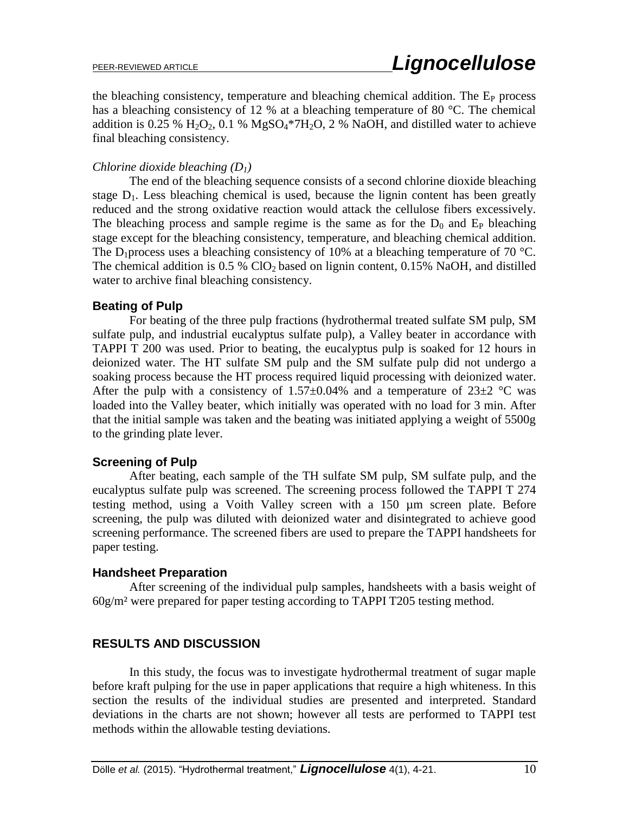the bleaching consistency, temperature and bleaching chemical addition. The  $E<sub>P</sub>$  process has a bleaching consistency of 12 % at a bleaching temperature of 80 °C. The chemical addition is 0.25 %  $H_2O_2$ , 0.1 %  $MgSO_4*7H_2O$ , 2 % NaOH, and distilled water to achieve final bleaching consistency.

## *Chlorine dioxide bleaching (D1)*

The end of the bleaching sequence consists of a second chlorine dioxide bleaching stage  $D_1$ . Less bleaching chemical is used, because the lignin content has been greatly reduced and the strong oxidative reaction would attack the cellulose fibers excessively. The bleaching process and sample regime is the same as for the  $D_0$  and  $E_P$  bleaching stage except for the bleaching consistency, temperature, and bleaching chemical addition. The D<sub>1</sub> process uses a bleaching consistency of 10% at a bleaching temperature of 70 °C. The chemical addition is  $0.5\%$  ClO<sub>2</sub> based on lignin content,  $0.15\%$  NaOH, and distilled water to archive final bleaching consistency.

## **Beating of Pulp**

For beating of the three pulp fractions (hydrothermal treated sulfate SM pulp, SM sulfate pulp, and industrial eucalyptus sulfate pulp), a Valley beater in accordance with TAPPI T 200 was used. Prior to beating, the eucalyptus pulp is soaked for 12 hours in deionized water. The HT sulfate SM pulp and the SM sulfate pulp did not undergo a soaking process because the HT process required liquid processing with deionized water. After the pulp with a consistency of  $1.57\pm0.04\%$  and a temperature of  $23\pm2$  °C was loaded into the Valley beater, which initially was operated with no load for 3 min. After that the initial sample was taken and the beating was initiated applying a weight of 5500g to the grinding plate lever.

# **Screening of Pulp**

After beating, each sample of the TH sulfate SM pulp, SM sulfate pulp, and the eucalyptus sulfate pulp was screened. The screening process followed the TAPPI T 274 testing method, using a Voith Valley screen with a 150 µm screen plate. Before screening, the pulp was diluted with deionized water and disintegrated to achieve good screening performance. The screened fibers are used to prepare the TAPPI handsheets for paper testing.

## **Handsheet Preparation**

After screening of the individual pulp samples, handsheets with a basis weight of 60g/m² were prepared for paper testing according to TAPPI T205 testing method.

# **RESULTS AND DISCUSSION**

In this study, the focus was to investigate hydrothermal treatment of sugar maple before kraft pulping for the use in paper applications that require a high whiteness. In this section the results of the individual studies are presented and interpreted. Standard deviations in the charts are not shown; however all tests are performed to TAPPI test methods within the allowable testing deviations.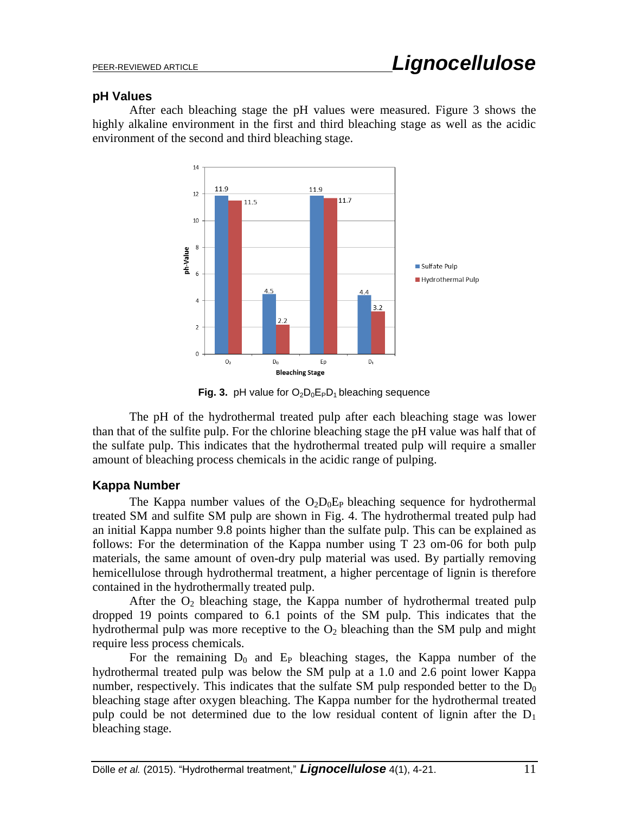## **pH Values**

After each bleaching stage the pH values were measured. Figure 3 shows the highly alkaline environment in the first and third bleaching stage as well as the acidic environment of the second and third bleaching stage.



**Fig. 3.** pH value for  $O_2D_0E_PD_1$  bleaching sequence

The pH of the hydrothermal treated pulp after each bleaching stage was lower than that of the sulfite pulp. For the chlorine bleaching stage the pH value was half that of the sulfate pulp. This indicates that the hydrothermal treated pulp will require a smaller amount of bleaching process chemicals in the acidic range of pulping.

# **Kappa Number**

The Kappa number values of the  $O_2D_0E_P$  bleaching sequence for hydrothermal treated SM and sulfite SM pulp are shown in Fig. 4. The hydrothermal treated pulp had an initial Kappa number 9.8 points higher than the sulfate pulp. This can be explained as follows: For the determination of the Kappa number using T 23 om-06 for both pulp materials, the same amount of oven-dry pulp material was used. By partially removing hemicellulose through hydrothermal treatment, a higher percentage of lignin is therefore contained in the hydrothermally treated pulp.

After the  $O_2$  bleaching stage, the Kappa number of hydrothermal treated pulp dropped 19 points compared to 6.1 points of the SM pulp. This indicates that the hydrothermal pulp was more receptive to the  $O_2$  bleaching than the SM pulp and might require less process chemicals.

For the remaining  $D_0$  and  $E_P$  bleaching stages, the Kappa number of the hydrothermal treated pulp was below the SM pulp at a 1.0 and 2.6 point lower Kappa number, respectively. This indicates that the sulfate SM pulp responded better to the  $D_0$ bleaching stage after oxygen bleaching. The Kappa number for the hydrothermal treated pulp could be not determined due to the low residual content of lignin after the  $D_1$ bleaching stage.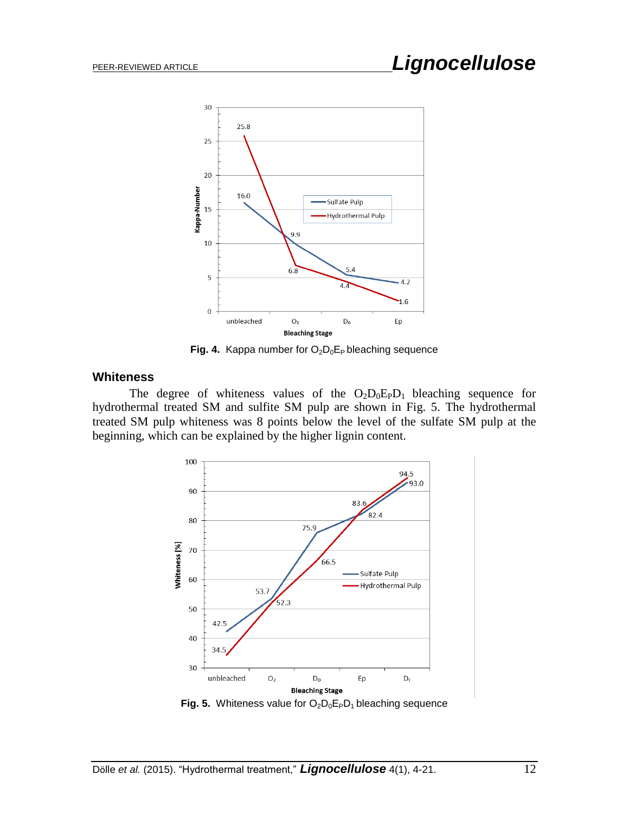

**Fig. 4.** Kappa number for  $O_2D_0E_P$  bleaching sequence

## **Whiteness**

The degree of whiteness values of the  $O_2D_0E_PD_1$  bleaching sequence for hydrothermal treated SM and sulfite SM pulp are shown in Fig. 5. The hydrothermal treated SM pulp whiteness was 8 points below the level of the sulfate SM pulp at the beginning, which can be explained by the higher lignin content.



**Fig. 5.** Whiteness value for  $O_2O_0E_PD_1$  bleaching sequence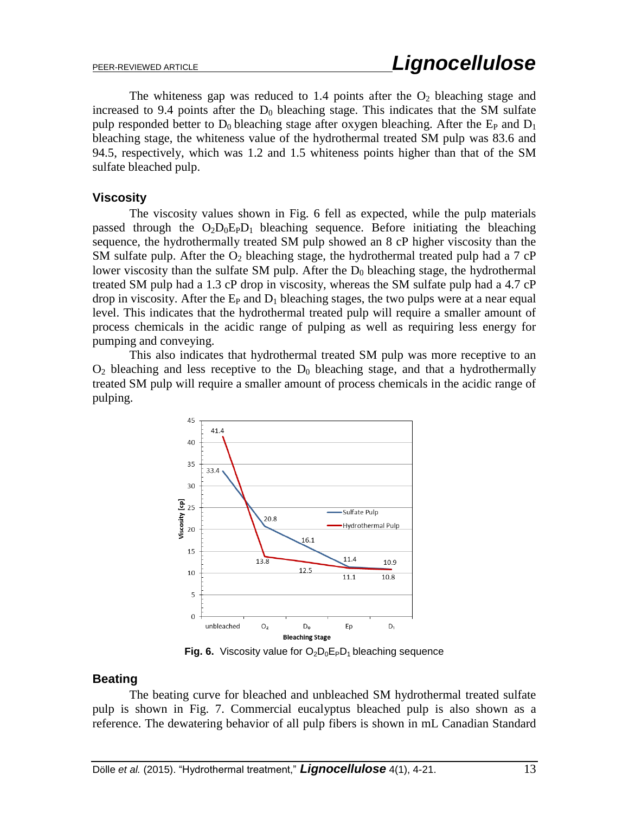The whiteness gap was reduced to 1.4 points after the  $O_2$  bleaching stage and increased to 9.4 points after the  $D_0$  bleaching stage. This indicates that the SM sulfate pulp responded better to  $D_0$  bleaching stage after oxygen bleaching. After the  $E_P$  and  $D_1$ bleaching stage, the whiteness value of the hydrothermal treated SM pulp was 83.6 and 94.5, respectively, which was 1.2 and 1.5 whiteness points higher than that of the SM sulfate bleached pulp.

## **Viscosity**

The viscosity values shown in Fig. 6 fell as expected, while the pulp materials passed through the  $O_2D_0E_PD_1$  bleaching sequence. Before initiating the bleaching sequence, the hydrothermally treated SM pulp showed an 8 cP higher viscosity than the SM sulfate pulp. After the  $O_2$  bleaching stage, the hydrothermal treated pulp had a 7 cP lower viscosity than the sulfate SM pulp. After the  $D_0$  bleaching stage, the hydrothermal treated SM pulp had a 1.3 cP drop in viscosity, whereas the SM sulfate pulp had a 4.7 cP drop in viscosity. After the  $E_P$  and  $D_1$  bleaching stages, the two pulps were at a near equal level. This indicates that the hydrothermal treated pulp will require a smaller amount of process chemicals in the acidic range of pulping as well as requiring less energy for pumping and conveying.

This also indicates that hydrothermal treated SM pulp was more receptive to an  $O<sub>2</sub>$  bleaching and less receptive to the  $D<sub>0</sub>$  bleaching stage, and that a hydrothermally treated SM pulp will require a smaller amount of process chemicals in the acidic range of pulping.



**Fig. 6.** Viscosity value for  $O_2D_0E_PD_1$  bleaching sequence

## **Beating**

The beating curve for bleached and unbleached SM hydrothermal treated sulfate pulp is shown in Fig. 7. Commercial eucalyptus bleached pulp is also shown as a reference. The dewatering behavior of all pulp fibers is shown in mL Canadian Standard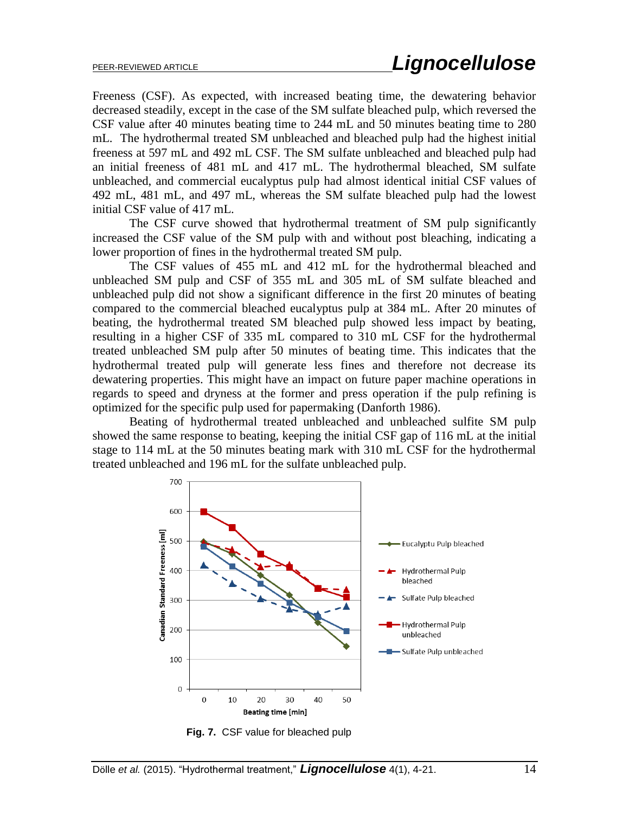Freeness (CSF). As expected, with increased beating time, the dewatering behavior decreased steadily, except in the case of the SM sulfate bleached pulp, which reversed the CSF value after 40 minutes beating time to 244 mL and 50 minutes beating time to 280 mL. The hydrothermal treated SM unbleached and bleached pulp had the highest initial freeness at 597 mL and 492 mL CSF. The SM sulfate unbleached and bleached pulp had an initial freeness of 481 mL and 417 mL. The hydrothermal bleached, SM sulfate unbleached, and commercial eucalyptus pulp had almost identical initial CSF values of 492 mL, 481 mL, and 497 mL, whereas the SM sulfate bleached pulp had the lowest initial CSF value of 417 mL.

The CSF curve showed that hydrothermal treatment of SM pulp significantly increased the CSF value of the SM pulp with and without post bleaching, indicating a lower proportion of fines in the hydrothermal treated SM pulp.

The CSF values of 455 mL and 412 mL for the hydrothermal bleached and unbleached SM pulp and CSF of 355 mL and 305 mL of SM sulfate bleached and unbleached pulp did not show a significant difference in the first 20 minutes of beating compared to the commercial bleached eucalyptus pulp at 384 mL. After 20 minutes of beating, the hydrothermal treated SM bleached pulp showed less impact by beating, resulting in a higher CSF of 335 mL compared to 310 mL CSF for the hydrothermal treated unbleached SM pulp after 50 minutes of beating time. This indicates that the hydrothermal treated pulp will generate less fines and therefore not decrease its dewatering properties. This might have an impact on future paper machine operations in regards to speed and dryness at the former and press operation if the pulp refining is optimized for the specific pulp used for papermaking (Danforth 1986).

Beating of hydrothermal treated unbleached and unbleached sulfite SM pulp showed the same response to beating, keeping the initial CSF gap of 116 mL at the initial stage to 114 mL at the 50 minutes beating mark with 310 mL CSF for the hydrothermal treated unbleached and 196 mL for the sulfate unbleached pulp.



 **Fig. 7.** CSF value for bleached pulp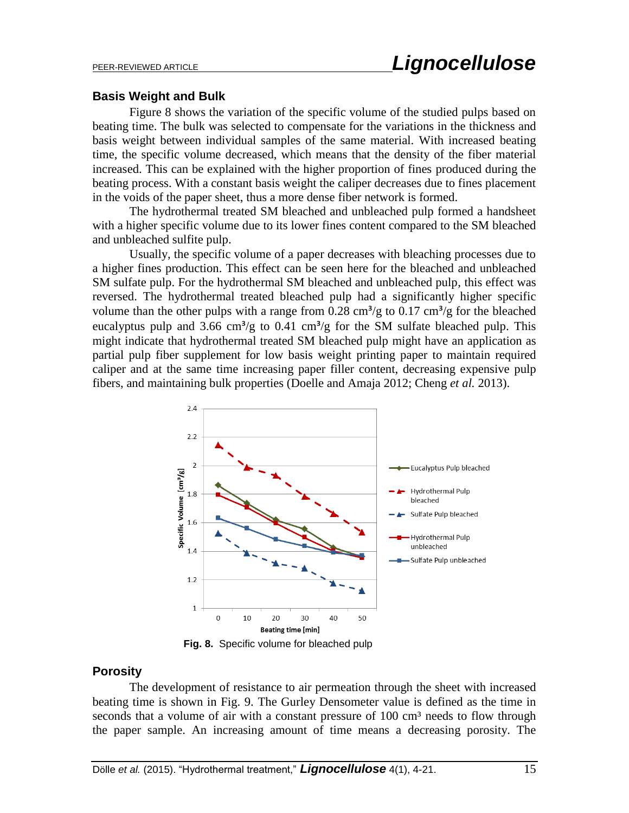#### **Basis Weight and Bulk**

Figure 8 shows the variation of the specific volume of the studied pulps based on beating time. The bulk was selected to compensate for the variations in the thickness and basis weight between individual samples of the same material. With increased beating time, the specific volume decreased, which means that the density of the fiber material increased. This can be explained with the higher proportion of fines produced during the beating process. With a constant basis weight the caliper decreases due to fines placement in the voids of the paper sheet, thus a more dense fiber network is formed.

The hydrothermal treated SM bleached and unbleached pulp formed a handsheet with a higher specific volume due to its lower fines content compared to the SM bleached and unbleached sulfite pulp.

Usually, the specific volume of a paper decreases with bleaching processes due to a higher fines production. This effect can be seen here for the bleached and unbleached SM sulfate pulp. For the hydrothermal SM bleached and unbleached pulp, this effect was reversed. The hydrothermal treated bleached pulp had a significantly higher specific volume than the other pulps with a range from  $0.28 \text{ cm}^3/\text{g}$  to  $0.17 \text{ cm}^3/\text{g}$  for the bleached eucalyptus pulp and 3.66 cm<sup>3</sup>/g to 0.41 cm<sup>3</sup>/g for the SM sulfate bleached pulp. This might indicate that hydrothermal treated SM bleached pulp might have an application as partial pulp fiber supplement for low basis weight printing paper to maintain required caliper and at the same time increasing paper filler content, decreasing expensive pulp fibers, and maintaining bulk properties (Doelle and Amaja 2012; Cheng *et al.* 2013).



 **Fig. 8.** Specific volume for bleached pulp

## **Porosity**

The development of resistance to air permeation through the sheet with increased beating time is shown in Fig. 9. The Gurley Densometer value is defined as the time in seconds that a volume of air with a constant pressure of 100 cm<sup>3</sup> needs to flow through the paper sample. An increasing amount of time means a decreasing porosity. The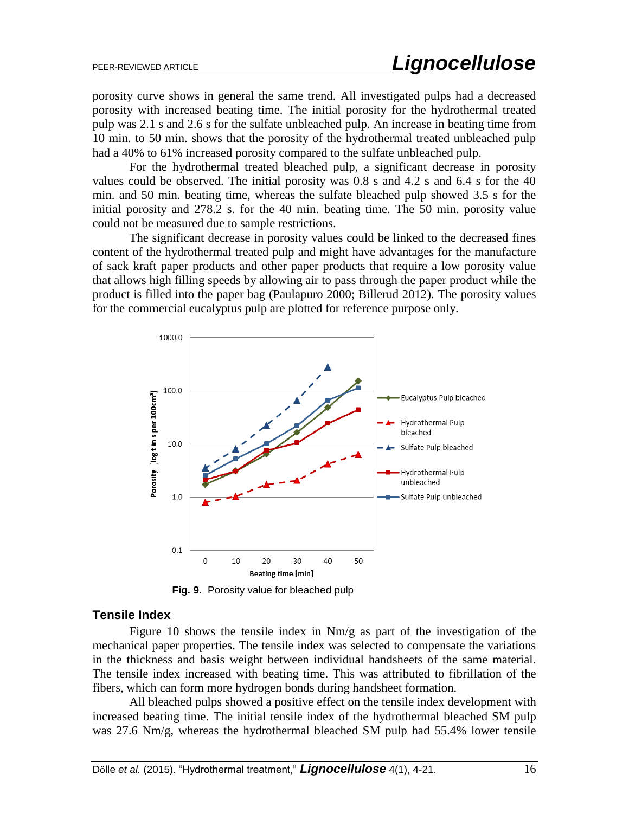porosity curve shows in general the same trend. All investigated pulps had a decreased porosity with increased beating time. The initial porosity for the hydrothermal treated pulp was 2.1 s and 2.6 s for the sulfate unbleached pulp. An increase in beating time from 10 min. to 50 min. shows that the porosity of the hydrothermal treated unbleached pulp had a 40% to 61% increased porosity compared to the sulfate unbleached pulp.

For the hydrothermal treated bleached pulp, a significant decrease in porosity values could be observed. The initial porosity was 0.8 s and 4.2 s and 6.4 s for the 40 min. and 50 min. beating time, whereas the sulfate bleached pulp showed 3.5 s for the initial porosity and 278.2 s. for the 40 min. beating time. The 50 min. porosity value could not be measured due to sample restrictions.

The significant decrease in porosity values could be linked to the decreased fines content of the hydrothermal treated pulp and might have advantages for the manufacture of sack kraft paper products and other paper products that require a low porosity value that allows high filling speeds by allowing air to pass through the paper product while the product is filled into the paper bag (Paulapuro 2000; Billerud 2012). The porosity values for the commercial eucalyptus pulp are plotted for reference purpose only.



**Fig. 9.** Porosity value for bleached pulp

#### **Tensile Index**

Figure 10 shows the tensile index in Nm/g as part of the investigation of the mechanical paper properties. The tensile index was selected to compensate the variations in the thickness and basis weight between individual handsheets of the same material. The tensile index increased with beating time. This was attributed to fibrillation of the fibers, which can form more hydrogen bonds during handsheet formation.

All bleached pulps showed a positive effect on the tensile index development with increased beating time. The initial tensile index of the hydrothermal bleached SM pulp was 27.6 Nm/g, whereas the hydrothermal bleached SM pulp had 55.4% lower tensile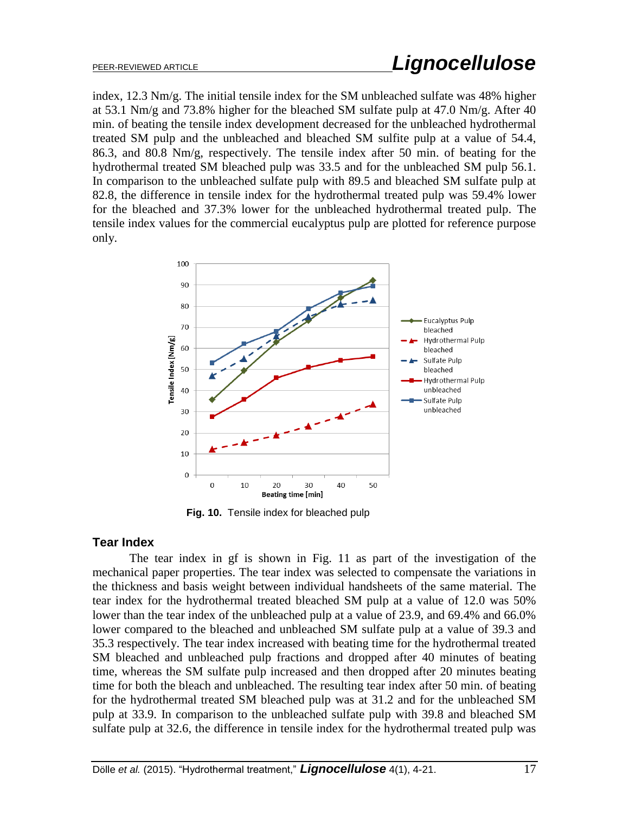index, 12.3 Nm/g. The initial tensile index for the SM unbleached sulfate was 48% higher at 53.1 Nm/g and 73.8% higher for the bleached SM sulfate pulp at 47.0 Nm/g. After 40 min. of beating the tensile index development decreased for the unbleached hydrothermal treated SM pulp and the unbleached and bleached SM sulfite pulp at a value of 54.4, 86.3, and 80.8 Nm/g, respectively. The tensile index after 50 min. of beating for the hydrothermal treated SM bleached pulp was 33.5 and for the unbleached SM pulp 56.1. In comparison to the unbleached sulfate pulp with 89.5 and bleached SM sulfate pulp at 82.8, the difference in tensile index for the hydrothermal treated pulp was 59.4% lower for the bleached and 37.3% lower for the unbleached hydrothermal treated pulp. The tensile index values for the commercial eucalyptus pulp are plotted for reference purpose only.



 **Fig. 10.** Tensile index for bleached pulp

# **Tear Index**

The tear index in gf is shown in Fig. 11 as part of the investigation of the mechanical paper properties. The tear index was selected to compensate the variations in the thickness and basis weight between individual handsheets of the same material. The tear index for the hydrothermal treated bleached SM pulp at a value of 12.0 was 50% lower than the tear index of the unbleached pulp at a value of 23.9, and 69.4% and 66.0% lower compared to the bleached and unbleached SM sulfate pulp at a value of 39.3 and 35.3 respectively. The tear index increased with beating time for the hydrothermal treated SM bleached and unbleached pulp fractions and dropped after 40 minutes of beating time, whereas the SM sulfate pulp increased and then dropped after 20 minutes beating time for both the bleach and unbleached. The resulting tear index after 50 min. of beating for the hydrothermal treated SM bleached pulp was at 31.2 and for the unbleached SM pulp at 33.9. In comparison to the unbleached sulfate pulp with 39.8 and bleached SM sulfate pulp at 32.6, the difference in tensile index for the hydrothermal treated pulp was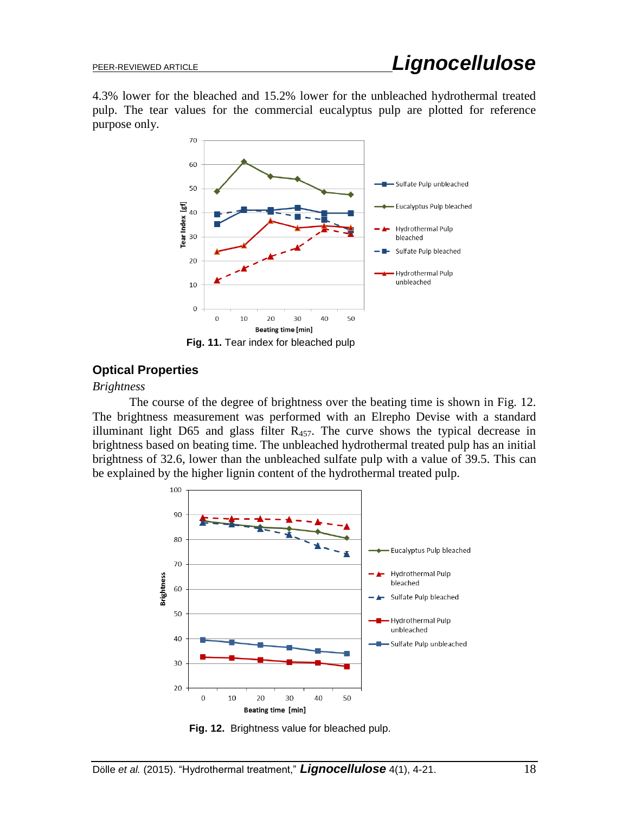4.3% lower for the bleached and 15.2% lower for the unbleached hydrothermal treated pulp. The tear values for the commercial eucalyptus pulp are plotted for reference purpose only.



 **Fig. 11.** Tear index for bleached pulp

# **Optical Properties**

#### *Brightness*

The course of the degree of brightness over the beating time is shown in Fig. 12. The brightness measurement was performed with an Elrepho Devise with a standard illuminant light D65 and glass filter  $R_{457}$ . The curve shows the typical decrease in brightness based on beating time. The unbleached hydrothermal treated pulp has an initial brightness of 32.6, lower than the unbleached sulfate pulp with a value of 39.5. This can be explained by the higher lignin content of the hydrothermal treated pulp.



**Fig. 12.** Brightness value for bleached pulp.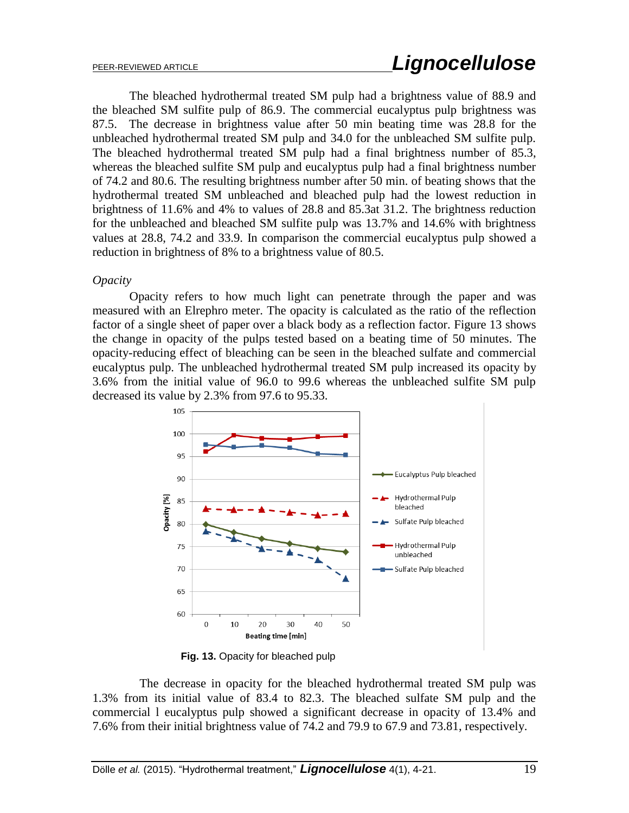The bleached hydrothermal treated SM pulp had a brightness value of 88.9 and the bleached SM sulfite pulp of 86.9. The commercial eucalyptus pulp brightness was 87.5. The decrease in brightness value after 50 min beating time was 28.8 for the unbleached hydrothermal treated SM pulp and 34.0 for the unbleached SM sulfite pulp. The bleached hydrothermal treated SM pulp had a final brightness number of 85.3, whereas the bleached sulfite SM pulp and eucalyptus pulp had a final brightness number of 74.2 and 80.6. The resulting brightness number after 50 min. of beating shows that the hydrothermal treated SM unbleached and bleached pulp had the lowest reduction in brightness of 11.6% and 4% to values of 28.8 and 85.3at 31.2. The brightness reduction for the unbleached and bleached SM sulfite pulp was 13.7% and 14.6% with brightness values at 28.8, 74.2 and 33.9. In comparison the commercial eucalyptus pulp showed a reduction in brightness of 8% to a brightness value of 80.5.

#### *Opacity*

Opacity refers to how much light can penetrate through the paper and was measured with an Elrephro meter. The opacity is calculated as the ratio of the reflection factor of a single sheet of paper over a black body as a reflection factor. Figure 13 shows the change in opacity of the pulps tested based on a beating time of 50 minutes. The opacity-reducing effect of bleaching can be seen in the bleached sulfate and commercial eucalyptus pulp. The unbleached hydrothermal treated SM pulp increased its opacity by 3.6% from the initial value of 96.0 to 99.6 whereas the unbleached sulfite SM pulp decreased its value by 2.3% from 97.6 to 95.33.



 **Fig. 13.** Opacity for bleached pulp

The decrease in opacity for the bleached hydrothermal treated SM pulp was 1.3% from its initial value of 83.4 to 82.3. The bleached sulfate SM pulp and the commercial l eucalyptus pulp showed a significant decrease in opacity of 13.4% and 7.6% from their initial brightness value of 74.2 and 79.9 to 67.9 and 73.81, respectively.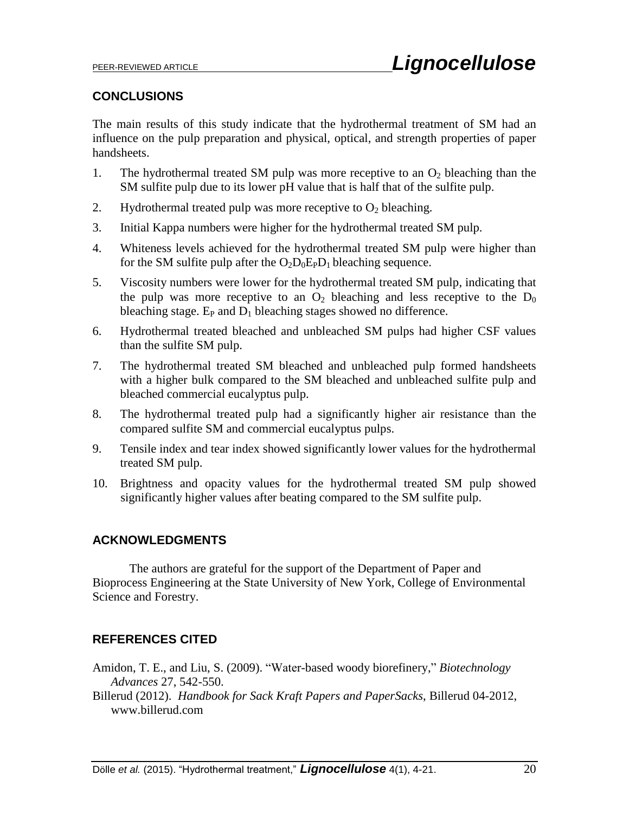# **CONCLUSIONS**

The main results of this study indicate that the hydrothermal treatment of SM had an influence on the pulp preparation and physical, optical, and strength properties of paper handsheets.

- 1. The hydrothermal treated SM pulp was more receptive to an  $O_2$  bleaching than the SM sulfite pulp due to its lower pH value that is half that of the sulfite pulp.
- 2. Hydrothermal treated pulp was more receptive to  $O_2$  bleaching.
- 3. Initial Kappa numbers were higher for the hydrothermal treated SM pulp.
- 4. Whiteness levels achieved for the hydrothermal treated SM pulp were higher than for the SM sulfite pulp after the  $O_2D_0E_PD_1$  bleaching sequence.
- 5. Viscosity numbers were lower for the hydrothermal treated SM pulp, indicating that the pulp was more receptive to an  $O_2$  bleaching and less receptive to the  $D_0$ bleaching stage.  $E_P$  and  $D_1$  bleaching stages showed no difference.
- 6. Hydrothermal treated bleached and unbleached SM pulps had higher CSF values than the sulfite SM pulp.
- 7. The hydrothermal treated SM bleached and unbleached pulp formed handsheets with a higher bulk compared to the SM bleached and unbleached sulfite pulp and bleached commercial eucalyptus pulp.
- 8. The hydrothermal treated pulp had a significantly higher air resistance than the compared sulfite SM and commercial eucalyptus pulps.
- 9. Tensile index and tear index showed significantly lower values for the hydrothermal treated SM pulp.
- 10. Brightness and opacity values for the hydrothermal treated SM pulp showed significantly higher values after beating compared to the SM sulfite pulp.

# **ACKNOWLEDGMENTS**

The authors are grateful for the support of the Department of Paper and Bioprocess Engineering at the State University of New York, College of Environmental Science and Forestry.

# **REFERENCES CITED**

Amidon, T. E., and Liu, S. (2009). "Water-based woody biorefinery," *Biotechnology Advances* 27, 542-550.

Billerud (2012). *Handbook for Sack Kraft Papers and PaperSacks*, Billerud 04-2012, www.billerud.com